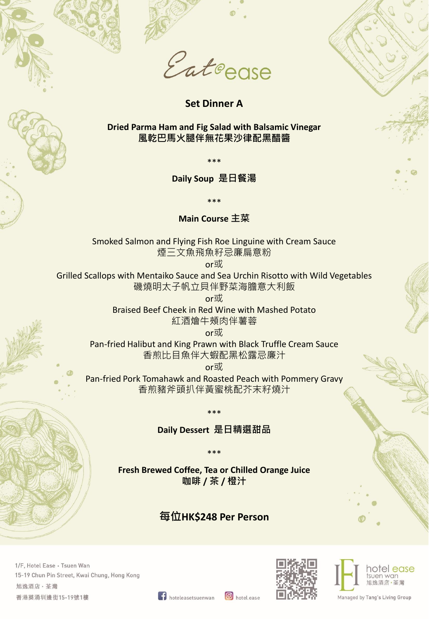

**Set Dinner A**

**Dried Parma Ham and Fig Salad with Balsamic Vinegar 風乾巴馬火腿伴無花果沙律配黑醋醬**

\*\*\*

**Daily Soup 是日餐湯**

\*\*\*

**Main Course 主菜**

Smoked Salmon and Flying Fish Roe Linguine with Cream Sauce 煙三文魚飛魚籽忌廉扁意粉

or或

Grilled Scallops with Mentaiko Sauce and Sea Urchin Risotto with Wild Vegetables 磯燒明太子帆立貝伴野菜海膽意大利飯

or或

Braised Beef Cheek in Red Wine with Mashed Potato 紅酒燴牛頰肉伴薯蓉

or或

Pan-fried Halibut and King Prawn with Black Truffle Cream Sauce 香煎比目魚伴大蝦配黑松露忌廉汁

or或

Pan-fried Pork Tomahawk and Roasted Peach with Pommery Gravy 香煎豬斧頭扒伴黃蜜桃配芥末籽燒汁

\*\*\*

**Daily Dessert 是日精選甜品**

**Fresh Brewed Coffee, Tea or Chilled Orange Juice 咖啡 / 茶 / 橙汁**

\*\*\*

## **每位HK\$248 Per Person**

1/F, Hotel Ease · Tsuen Wan 15-19 Chun Pin Street, Kwai Chung, Hong Kong 旭逸酒店·荃灣 香港葵涌圳邊街15-19號1樓





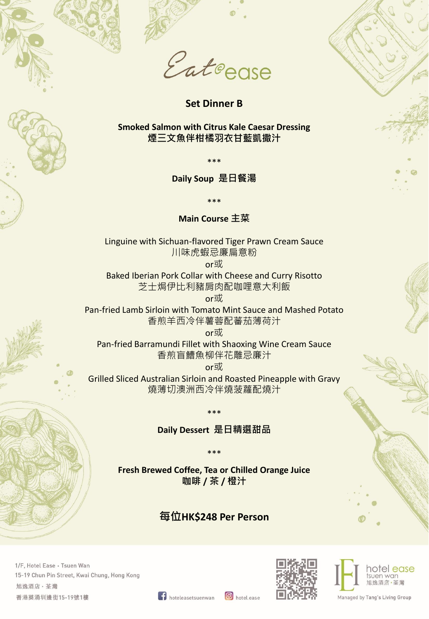

**Set Dinner B**

**Smoked Salmon with Citrus Kale Caesar Dressing 煙三文魚伴柑橘羽衣甘藍凱撒汁**

\*\*\*

**Daily Soup 是日餐湯**

\*\*\*

**Main Course 主菜**

Linguine with Sichuan-flavored Tiger Prawn Cream Sauce 川味虎蝦忌廉扁意粉

or或

Baked Iberian Pork Collar with Cheese and Curry Risotto 芝士焗伊比利豬肩肉配咖哩意大利飯

or或

Pan-fried Lamb Sirloin with Tomato Mint Sauce and Mashed Potato 香煎羊西冷伴薯蓉配蕃茄薄荷汁

or或

Pan-fried Barramundi Fillet with Shaoxing Wine Cream Sauce 香煎盲鰽魚柳伴花雕忌廉汁

or或

Grilled Sliced Australian Sirloin and Roasted Pineapple with Gravy 燒薄切澳洲西冷伴燒菠蘿配燒汁

> \*\*\* **Daily Dessert 是日精選甜品**

**Fresh Brewed Coffee, Tea or Chilled Orange Juice 咖啡 / 茶 / 橙汁**

\*\*\*

## **每位HK\$248 Per Person**

1/F, Hotel Ease · Tsuen Wan 15-19 Chun Pin Street, Kwai Chung, Hong Kong 旭逸酒店·荃灣 香港葵涌圳邊街15-19號1樓





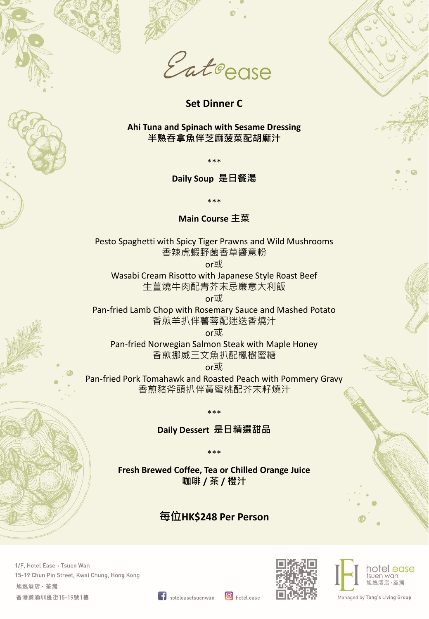



**Set Dinner C**

**Ahi Tuna and Spinach with Sesame Dressing 半熟吞拿魚伴芝麻菠菜配胡麻汁**

\*\*\*

**Daily Soup 是日餐湯**

\*\*\*

**Main Course 主菜**

Pesto Spaghetti with Spicy Tiger Prawns and Wild Mushrooms 香辣虎蝦野菌香草醬意粉

or或

Wasabi Cream Risotto with Japanese Style Roast Beef 生薑燒牛肉配青芥末忌廉意大利飯

or或

Pan-fried Lamb Chop with Rosemary Sauce and Mashed Potato 香煎羊扒伴薯蓉配迷迭香燒汁

or或

Pan-fried Norwegian Salmon Steak with Maple Honey 香煎挪威三文魚扒配楓樹蜜糖

or或

Pan-fried Pork Tomahawk and Roasted Peach with Pommery Gravy 香煎豬斧頭扒伴黃蜜桃配芥末籽燒汁

> \*\*\* **Daily Dessert 是日精選甜品**

**Fresh Brewed Coffee, Tea or Chilled Orange Juice 咖啡 / 茶 / 橙汁**

\*\*\*

## **每位HK\$248 Per Person**

1/F, Hotel Ease · Tsuen Wan 15-19 Chun Pin Street, Kwai Chung, Hong Kong 旭逸酒店·荃灣 香港葵涌圳邊街15-19號1樓